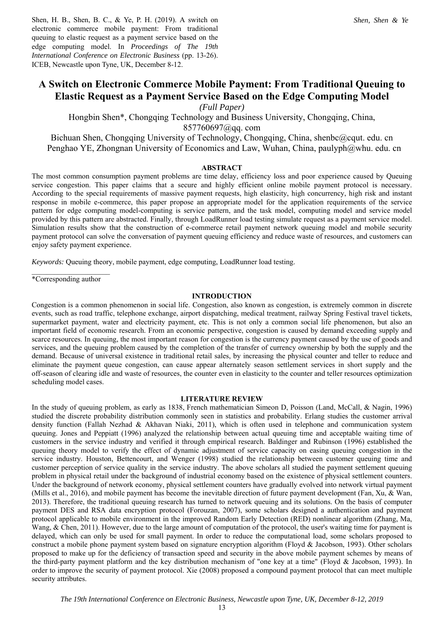Shen, H. B., Shen, B. C., & Ye, P. H. (2019). A switch on electronic commerce mobile payment: From traditional queuing to elastic request as a payment service based on the edge computing model. In *Proceedings of The 19th International Conference on Electronic Business* (pp. 13-26). ICEB, Newcastle upon Tyne, UK, December 8-12.

# **A Switch on Electronic Commerce Mobile Payment: From Traditional Queuing to Elastic Request as a Payment Service Based on the Edge Computing Model**

*(Full Paper)* 

Hongbin Shen\*, Chongqing Technology and Business University, Chongqing, China,

857760697@qq. com

Bichuan Shen, Chongqing University of Technology, Chongqing, China, shenbc@cqut. edu. cn Penghao YE, Zhongnan University of Economics and Law, Wuhan, China, paulyph@whu. edu. cn

# **ABSTRACT**

The most common consumption payment problems are time delay, efficiency loss and poor experience caused by Queuing service congestion. This paper claims that a secure and highly efficient online mobile payment protocol is necessary. According to the special requirements of massive payment requests, high elasticity, high concurrency, high risk and instant response in mobile e-commerce, this paper propose an appropriate model for the application requirements of the service pattern for edge computing model-computing is service pattern, and the task model, computing model and service model provided by this pattern are abstracted. Finally, through LoadRunner load testing simulate request as a payment service model. Simulation results show that the construction of e-commerce retail payment network queuing model and mobile security payment protocol can solve the conversation of payment queuing efficiency and reduce waste of resources, and customers can enjoy safety payment experience.

*Keywords:* Queuing theory, mobile payment, edge computing, LoadRunner load testing.

 $\mathcal{L}=\mathcal{L}^{\mathcal{L}}$  , where  $\mathcal{L}^{\mathcal{L}}$  , we have the set of  $\mathcal{L}^{\mathcal{L}}$ \*Corresponding author

#### **INTRODUCTION**

Congestion is a common phenomenon in social life. Congestion, also known as congestion, is extremely common in discrete events, such as road traffic, telephone exchange, airport dispatching, medical treatment, railway Spring Festival travel tickets, supermarket payment, water and electricity payment, etc. This is not only a common social life phenomenon, but also an important field of economic research. From an economic perspective, congestion is caused by demand exceeding supply and scarce resources. In queuing, the most important reason for congestion is the currency payment caused by the use of goods and services, and the queuing problem caused by the completion of the transfer of currency ownership by both the supply and the demand. Because of universal existence in traditional retail sales, by increasing the physical counter and teller to reduce and eliminate the payment queue congestion, can cause appear alternately season settlement services in short supply and the off-season of clearing idle and waste of resources, the counter even in elasticity to the counter and teller resources optimization scheduling model cases.

#### **LITERATURE REVIEW**

In the study of queuing problem, as early as 1838, French mathematician Simeon D, Poisson (Land, McCall, & Nagin, 1996) studied the discrete probability distribution commonly seen in statistics and probability. Erlang studies the customer arrival density function (Fallah Nezhad & Akhavan Niaki, 2011), which is often used in telephone and communication system queuing. Jones and Peppiatt (1996) analyzed the relationship between actual queuing time and acceptable waiting time of customers in the service industry and verified it through empirical research. Baldinger and Rubinson (1996) established the queuing theory model to verify the effect of dynamic adjustment of service capacity on easing queuing congestion in the service industry. Houston, Bettencourt, and Wenger (1998) studied the relationship between customer queuing time and customer perception of service quality in the service industry. The above scholars all studied the payment settlement queuing problem in physical retail under the background of industrial economy based on the existence of physical settlement counters. Under the background of network economy, physical settlement counters have gradually evolved into network virtual payment (Mills et al., 2016), and mobile payment has become the inevitable direction of future payment development (Fan, Xu, & Wan, 2013). Therefore, the traditional queuing research has turned to network queuing and its solutions. On the basis of computer payment DES and RSA data encryption protocol (Forouzan, 2007), some scholars designed a authentication and payment protocol applicable to mobile environment in the improved Random Early Detection (RED) nonlinear algorithm (Zhang, Ma, Wang, & Chen, 2011). However, due to the large amount of computation of the protocol, the user's waiting time for payment is delayed, which can only be used for small payment. In order to reduce the computational load, some scholars proposed to construct a mobile phone payment system based on signature encryption algorithm (Floyd & Jacobson, 1993). Other scholars proposed to make up for the deficiency of transaction speed and security in the above mobile payment schemes by means of the third-party payment platform and the key distribution mechanism of "one key at a time" (Floyd & Jacobson, 1993). In order to improve the security of payment protocol. Xie (2008) proposed a compound payment protocol that can meet multiple security attributes.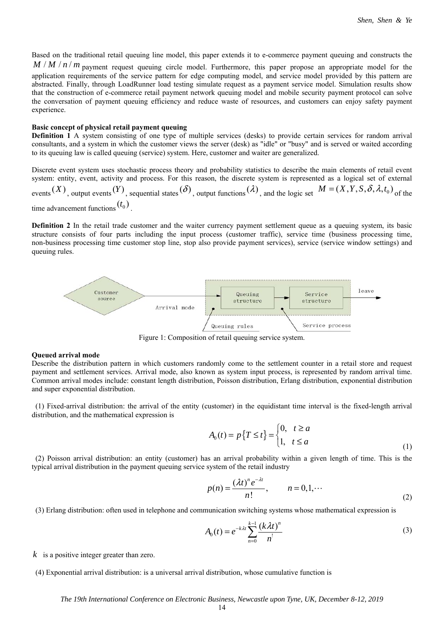Based on the traditional retail queuing line model, this paper extends it to e-commerce payment queuing and constructs the  $M / M / n / m$  payment request queuing circle model. Furthermore, this paper propose an appropriate model for the application requirements of the service pattern for edge computing model, and service model provided by this pattern are abstracted. Finally, through LoadRunner load testing simulate request as a payment service model. Simulation results show that the construction of e-commerce retail payment network queuing model and mobile security payment protocol can solve the conversation of payment queuing efficiency and reduce waste of resources, and customers can enjoy safety payment experience.

#### **Basic concept of physical retail payment queuing**

**Definition 1** A system consisting of one type of multiple services (desks) to provide certain services for random arrival consultants, and a system in which the customer views the server (desk) as "idle" or "busy" and is served or waited according to its queuing law is called queuing (service) system. Here, customer and waiter are generalized.

Discrete event system uses stochastic process theory and probability statistics to describe the main elements of retail event system: entity, event, activity and process. For this reason, the discrete system is represented as a logical set of external events  $(X)$ , output events  $(Y)$ , sequential states  $(\delta)$ , output functions  $(\lambda)$ , and the logic set  $M = (X, Y, S, \delta, \lambda, t_0)$  of the time advancement functions  $(t_0)$ 

**Definition 2** In the retail trade customer and the waiter currency payment settlement queue as a queuing system, its basic structure consists of four parts including the input process (customer traffic), service time (business processing time, non-business processing time customer stop line, stop also provide payment services), service (service window settings) and queuing rules.



Figure 1: Composition of retail queuing service system.

#### **Queued arrival mode**

Describe the distribution pattern in which customers randomly come to the settlement counter in a retail store and request payment and settlement services. Arrival mode, also known as system input process, is represented by random arrival time. Common arrival modes include: constant length distribution, Poisson distribution, Erlang distribution, exponential distribution and super exponential distribution.

 (1) Fixed-arrival distribution: the arrival of the entity (customer) in the equidistant time interval is the fixed-length arrival distribution, and the mathematical expression is

$$
A_0(t) = p\left\{T \le t\right\} = \begin{cases} 0, & t \ge a \\ 1, & t \le a \end{cases} \tag{1}
$$

 (2) Poisson arrival distribution: an entity (customer) has an arrival probability within a given length of time. This is the typical arrival distribution in the payment queuing service system of the retail industry

$$
p(n) = \frac{(\lambda t)^n e^{-\lambda t}}{n!}, \qquad n = 0, 1, \cdots
$$
 (2)

(3) Erlang distribution: often used in telephone and communication switching systems whose mathematical expression is

$$
A_0(t) = e^{-k\lambda t} \sum_{n=0}^{k-1} \frac{(k\lambda t)^n}{n!}
$$
 (3)

*k* is a positive integer greater than zero.

 <sup>(4)</sup> Exponential arrival distribution: is a universal arrival distribution, whose cumulative function is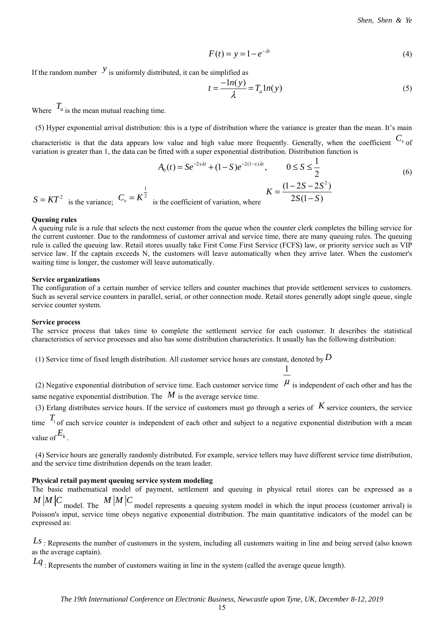$$
F(t) = y = 1 - e^{-\lambda t}
$$
 (4)

If the random number  $\left(y\right)$  is uniformly distributed, it can be simplified as

$$
t = \frac{-\ln(y)}{\lambda} = T_a \ln(y) \tag{5}
$$

Where  $T_a$  is the mean mutual reaching time.

 (5) Hyper exponential arrival distribution: this is a type of distribution where the variance is greater than the mean. It's main characteristic is that the data appears low value and high value more frequently. Generally, when the coefficient  $C_{\nu}$  of variation is greater than 1, the data can be fitted with a super exponential distribution. Distribution function is

$$
A_0(t) = Se^{-2s\lambda t} + (1 - S)e^{-2(1 - s)\lambda t}, \qquad 0 \le S \le \frac{1}{2}
$$
\n
$$
S = KT^2 \quad \text{is the variance;} \quad C_v = K^{\frac{1}{2}} \quad \text{is the coefficient of variation, where} \qquad K = \frac{(1 - 2S - 2S^2)}{2S(1 - S)}
$$
\n
$$
(6)
$$

#### **Queuing rules**

A queuing rule is a rule that selects the next customer from the queue when the counter clerk completes the billing service for the current customer. Due to the randomness of customer arrival and service time, there are many queuing rules. The queuing rule is called the queuing law. Retail stores usually take First Come First Service (FCFS) law, or priority service such as VIP service law. If the captain exceeds N, the customers will leave automatically when they arrive later. When the customer's waiting time is longer, the customer will leave automatically.

#### **Service organizations**

The configuration of a certain number of service tellers and counter machines that provide settlement services to customers. Such as several service counters in parallel, serial, or other connection mode. Retail stores generally adopt single queue, single service counter system.

## **Service process**

The service process that takes time to complete the settlement service for each customer. It describes the statistical characteristics of service processes and also has some distribution characteristics. It usually has the following distribution:

(1) Service time of fixed length distribution. All customer service hours are constant, denoted by *D*

(2) Negative exponential distribution of service time. Each customer service time  $\mu$  is independent of each other and has the same negative exponential distribution. The  $M$  is the average service time.

1

(3) Erlang distributes service hours. If the service of customers must go through a series of *K* service counters, the service

time  $T_i$  of each service counter is independent of each other and subject to a negative exponential distribution with a mean value of  $E_k$ 

 (4) Service hours are generally randomly distributed. For example, service tellers may have different service time distribution, and the service time distribution depends on the team leader.

## **Physical retail payment queuing service system modeling**

The basic mathematical model of payment, settlement and queuing in physical retail stores can be expressed as a  $M/M/C$  model. The  $M/M/C$  model represents a queuing system model in which the input process (customer arrival) is

Poisson's input, service time obeys negative exponential distribution. The main quantitative indicators of the model can be expressed as:

Ls : Represents the number of customers in the system, including all customers waiting in line and being served (also known as the average captain).

*Lq* : Represents the number of customers waiting in line in the system (called the average queue length).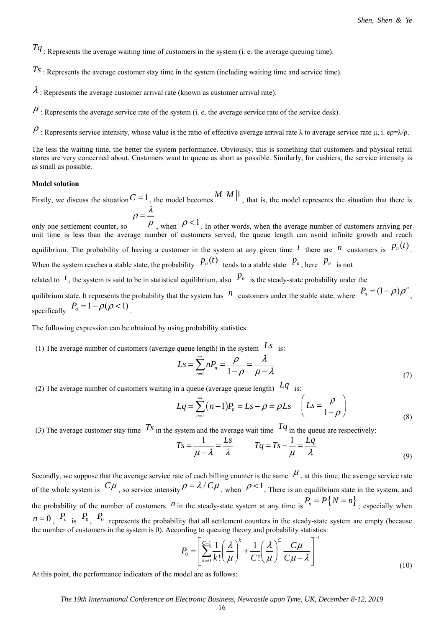*Tq* : Represents the average waiting time of customers in the system (i. e. the average queuing time).

*Ts* : Represents the average customer stay time in the system (including waiting time and service time).

 $\lambda$ : Represents the average customer arrival rate (known as customer arrival rate).

 $\mu$ . Represents the average service rate of the system (i. e. the average service rate of the service desk).

 $\rho$ : Represents service intensity, whose value is the ratio of effective average arrival rate λ to average service rate μ, i. eρ=λ/ρ.

The less the waiting time, the better the system performance. Obviously, this is something that customers and physical retail stores are very concerned about. Customers want to queue as short as possible. Similarly, for cashiers, the service intensity is as small as possible.

## **Model solution**

Firstly, we discuss the situation  $C = 1$ , the model becomes  $M \mid M \mid 1$ , that is, the model represents the situation that there is λ ρ

only one settlement counter, so  $\rho = \frac{\lambda}{\mu}$ , when  $\rho < 1$ . In other words, when the average number of customers arriving per unit time is less than the average number of customers served, the queue length can avoid infinite growth and reach equilibrium. The probability of having a customer in the system at any given time  $t$  there are  $n$  customers is  $p_n(t)$ . When the system reaches a stable state, the probability  $P_n(t)$  tends to a stable state  $P_n$ , here  $P_n$  is not

related to  $t$ , the system is said to be in statistical equilibrium, also  $P_n$  is the steady-state probability under the

quilibrium state. It represents the probability that the system has *n* customers under the stable state, where  $P_n = (1 - \rho)\rho^n$ specifically  $P_o = 1 - \rho(\rho < 1)$ 

The following expression can be obtained by using probability statistics:

(1) The average number of customers (average queue length) in the system  $\mathcal{L}s$  is:

$$
Ls = \sum_{n=1}^{\infty} nP_n = \frac{\rho}{1-\rho} = \frac{\lambda}{\mu - \lambda}
$$
\n(7)

(2) The average number of customers waiting in a queue (average queue length)  $Lq_{\text{is}}$ :

$$
Lq = \sum_{n=1}^{\infty} (n-1)P_n = Ls - \rho = \rho Ls \quad \left( Ls = \frac{\rho}{1-\rho} \right)
$$
\n(8)

(3) The average customer stay time  $Ts$  in the system and the average wait time  $Tq$  in the queue are respectively:

$$
Ts = \frac{1}{\mu - \lambda} = \frac{Ls}{\lambda} \qquad Tq = Ts - \frac{1}{\mu} = \frac{Lq}{\lambda}
$$
\n(9)

Secondly, we suppose that the average service rate of each billing counter is the same  $\mu$ , at this time, the average service rate of the whole system is  $C\mu$ , so service intensity  $\rho = \lambda / C\mu$ , when  $\rho < 1$ , There is an equilibrium state in the system, and the probability of the number of customers *n* in the steady-state system at any time is  $P_n = P\{N = n\}$ ; especially when  $n = 0$ ,  $P_n$  is  $P_0$ ,  $P_0$  represents the probability that all settlement counters in the steady-state system are empty (because the number of customers in the system is 0). According to queuing theory and probability statistics:

$$
P_0 = \left[\sum_{k=0}^{C-1} \frac{1}{k!} \left(\frac{\lambda}{\mu}\right)^k + \frac{1}{C!} \left(\frac{\lambda}{\mu}\right)^C \frac{C\mu}{C\mu - \lambda}\right]^{-1}
$$
(10)

At this point, the performance indicators of the model are as follows:

## *The 19th International Conference on Electronic Business, Newcastle upon Tyne, UK, December 8-12, 2019*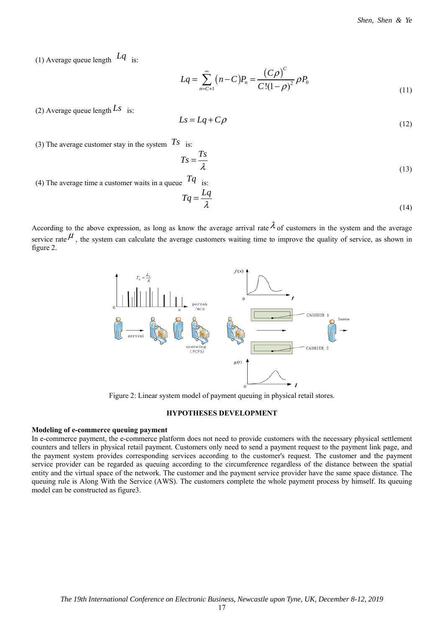(1) Average queue length *Lq* is:

$$
Lq = \sum_{n=C+1}^{\infty} (n-C)P_n = \frac{(C\rho)^C}{C!(1-\rho)^2} \rho P_0
$$
\n(11)

(2) Average queue length  $Ls$  is:

$$
Ls = Lq + C\rho \tag{12}
$$

(3) The average customer stay in the system  $Ts$  is:

$$
Ts = \frac{Ts}{\lambda} \tag{13}
$$

(4) The average time a customer waits in a queue  $Tq$  is:

$$
Tq = \frac{Lq}{\lambda} \tag{14}
$$

According to the above expression, as long as know the average arrival rate  $\lambda$  of customers in the system and the average service rate  $\mu$ , the system can calculate the average customers waiting time to improve the quality of service, as shown in figure 2.



Figure 2: Linear system model of payment queuing in physical retail stores.

# **HYPOTHESES DEVELOPMENT**

# **Modeling of e-commerce queuing payment**

In e-commerce payment, the e-commerce platform does not need to provide customers with the necessary physical settlement counters and tellers in physical retail payment. Customers only need to send a payment request to the payment link page, and the payment system provides corresponding services according to the customer's request. The customer and the payment service provider can be regarded as queuing according to the circumference regardless of the distance between the spatial entity and the virtual space of the network. The customer and the payment service provider have the same space distance. The queuing rule is Along With the Service (AWS). The customers complete the whole payment process by himself. Its queuing model can be constructed as figure3.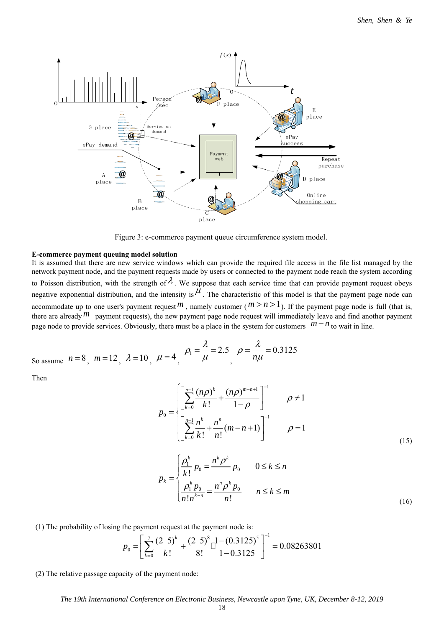

Figure 3: e-commerce payment queue circumference system model.

#### **E-commerce payment queuing model solution**

It is assumed that there are new service windows which can provide the required file access in the file list managed by the network payment node, and the payment requests made by users or connected to the payment node reach the system according to Poisson distribution, with the strength of  $\lambda$ . We suppose that each service time that can provide payment request obeys negative exponential distribution, and the intensity is  $\mu$ . The characteristic of this model is that the payment page node can accommodate up to one user's payment request  $m$ , namely customer ( $m > n > 1$ ). If the payment page node is full (that is, there are already  $m$  payment requests), the new payment page node request will immediately leave and find another payment page node to provide services. Obviously, there must be a place in the system for customers  $m - n$  to wait in line.

So assume 
$$
n = 8
$$
,  $m = 12$ ,  $\lambda = 10$ ,  $\mu = 4$ ,  $\rho_1 = \frac{\lambda}{\mu} = 2.5$ ,  $\rho = \frac{\lambda}{n\mu} = 0.3125$ 

Then

$$
p_0 = \begin{cases} \left[ \sum_{k=0}^{n-1} \frac{(n\rho)^k}{k!} + \frac{(n\rho)^{m-n+1}}{1-\rho} \right]^{-1} & \rho \neq 1\\ \left[ \sum_{k=0}^{n-1} \frac{n^k}{k!} + \frac{n^n}{n!} (m-n+1) \right]^{-1} & \rho = 1 \end{cases}
$$
(15)

$$
p_{k} = \begin{cases} \frac{\rho_{1}^{k}}{k!} p_{0} = \frac{n^{k} \rho^{k}}{k!} p_{0} & 0 \leq k \leq n \\ \frac{\rho_{1}^{k} p_{0}}{n! n^{k-n}} = \frac{n^{n} \rho^{k} p_{0}}{n!} & n \leq k \leq m \end{cases}
$$
(16)

(1) The probability of losing the payment request at the payment node is:

$$
p_0 = \left[ \sum_{k=0}^{7} \frac{(2\ 5)^k}{k!} + \frac{(2\ 5)^8}{8!} \right]^{1} - (0.3125)^5 = 0.08263801
$$

(2) The relative passage capacity of the payment node: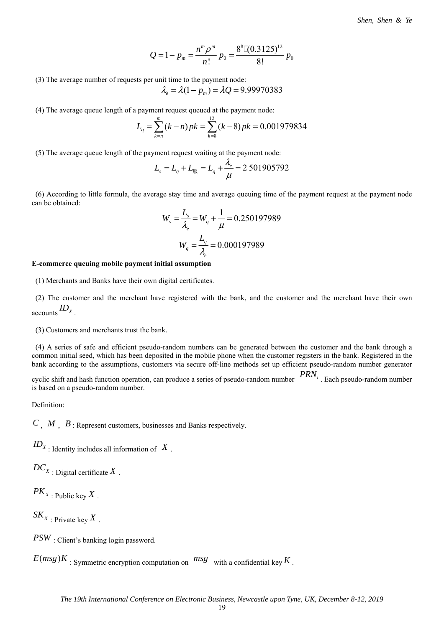$$
Q=1-p_m=\frac{n^m \rho^m}{n!} p_0=\frac{8^8 [(0.3125)^{12} }{8!} p_0
$$

(3) The average number of requests per unit time to the payment node:

$$
\lambda_e = \lambda(1 - p_m) = \lambda Q = 9.99970383
$$

(4) The average queue length of a payment request queued at the payment node:

$$
L_q = \sum_{k=n}^{m} (k-n) p k = \sum_{k=8}^{12} (k-8) p k = 0.001979834
$$

(5) The average queue length of the payment request waiting at the payment node:

$$
L_s = L_q + L_{\text{HR}} = L_q + \frac{\lambda_e}{\mu} = 2\,501905792
$$

 (6) According to little formula, the average stay time and average queuing time of the payment request at the payment node can be obtained:

$$
W_s = \frac{L_s}{\lambda_e} = W_q + \frac{1}{\mu} = 0.250197989
$$

$$
W_q = \frac{L_q}{\lambda_e} = 0.000197989
$$

## **E-commerce queuing mobile payment initial assumption**

(1) Merchants and Banks have their own digital certificates.

 (2) The customer and the merchant have registered with the bank, and the customer and the merchant have their own accounts *<sup>X</sup> ID* .

(3) Customers and merchants trust the bank.

 (4) A series of safe and efficient pseudo-random numbers can be generated between the customer and the bank through a common initial seed, which has been deposited in the mobile phone when the customer registers in the bank. Registered in the bank according to the assumptions, customers via secure off-line methods set up efficient pseudo-random number generator

cyclic shift and hash function operation, can produce a series of pseudo-random number *PRNi* . Each pseudo-random number is based on a pseudo-random number.

Definition:

*C* , *M* , *B* : Represent customers, businesses and Banks respectively.

 $ID_X$ : Identity includes all information of  $X$ .

 $DC_X$  : Digital certificate  $X$ .

 $PK_{X}$ : Public key  $X$ .

 $SK_{X}$ : Private key X.

*PSW* : Client's banking login password.

 $E(msg)K$ : Symmetric encryption computation on  $msg$  with a confidential key  $K$ .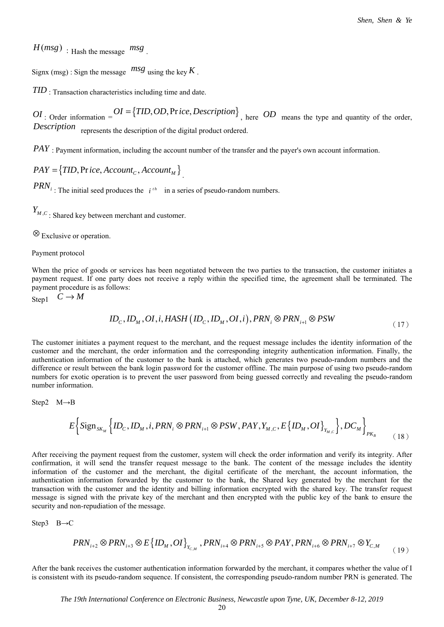$H(msg)$ : Hash the message  $msg$ .

Signx (msg) : Sign the message  $msg$  using the key  $K$ .

*TID* : Transaction characteristics including time and date.

*OI* : Order information =  $OI = \{TID, OD, Price, Description\}$ , here *OD* means the type and quantity of the order, *Description* represents the description of the digital product ordered.

*PAY* : Payment information, including the account number of the transfer and the payer's own account information.

 $PAY = \{TID, Price, Account<sub>C</sub>, Account<sub>M</sub>\}$ 

 $PRN_i$ : The initial seed produces the  $i^{th}$  in a series of pseudo-random numbers.

 $Y_{\mathit{M},\mathit{C}}$  : Shared key between merchant and customer.

⊗ Exclusive or operation.

Payment protocol

When the price of goods or services has been negotiated between the two parties to the transaction, the customer initiates a payment request. If one party does not receive a reply within the specified time, the agreement shall be terminated. The payment procedure is as follows:

Step1  $C \rightarrow M$ 

$$
ID_c, ID_M, OI, i, HASH (ID_c, ID_M, OI, i), PRN_i \otimes PRN_{i+1} \otimes PSW
$$
\n
$$
(17)
$$

The customer initiates a payment request to the merchant, and the request message includes the identity information of the customer and the merchant, the order information and the corresponding integrity authentication information. Finally, the authentication information of the customer to the bank is attached, which generates two pseudo-random numbers and the difference or result between the bank login password for the customer offline. The main purpose of using two pseudo-random numbers for exotic operation is to prevent the user password from being guessed correctly and revealing the pseudo-random number information.

Step2 
$$
M \rightarrow B
$$

$$
E\left\{\text{Sign}_{\text{SK}_M}\left\{ID_c, ID_M, i, PRN_i \otimes PRN_{i+1} \otimes PSW, PAY, Y_{M,C}, E\left\{ID_M, OI\right\}_{Y_{M,C}}\right\}, DC_M\right\}_{PK_B} \tag{18}
$$

After receiving the payment request from the customer, system will check the order information and verify its integrity. After confirmation, it will send the transfer request message to the bank. The content of the message includes the identity information of the customer and the merchant, the digital certificate of the merchant, the account information, the authentication information forwarded by the customer to the bank, the Shared key generated by the merchant for the transaction with the customer and the identity and billing information encrypted with the shared key. The transfer request message is signed with the private key of the merchant and then encrypted with the public key of the bank to ensure the security and non-repudiation of the message.

Step3 B→C

$$
PRN_{i+2} \otimes PRN_{i+3} \otimes E\left\{ {ID_M, OI} \right\}_{Y_{C,M}}, PRN_{i+4} \otimes PRN_{i+5} \otimes PAY, PRN_{i+6} \otimes PRN_{i+7} \otimes Y_{C,M}
$$
 (19)

After the bank receives the customer authentication information forwarded by the merchant, it compares whether the value of I is consistent with its pseudo-random sequence. If consistent, the corresponding pseudo-random number PRN is generated. The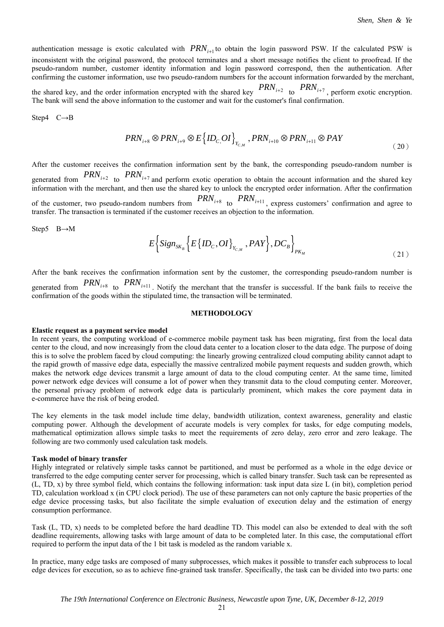authentication message is exotic calculated with  $PRN_{i+1}$  to obtain the login password PSW. If the calculated PSW is inconsistent with the original password, the protocol terminates and a short message notifies the client to proofread. If the pseudo-random number, customer identity information and login password correspond, then the authentication. After confirming the customer information, use two pseudo-random numbers for the account information forwarded by the merchant, the shared key, and the order information encrypted with the shared key  $PRN_{i+2}$  to  $PRN_{i+7}$ , perform exotic encryption.

The bank will send the above information to the customer and wait for the customer's final confirmation.

Step4 C→B

$$
PRN_{i+8} \otimes PRN_{i+9} \otimes E\left\{ {ID_{C,}OI} \right\}_{Y_{C,M}}, PRN_{i+10} \otimes PRN_{i+11} \otimes PAY \tag{20}
$$

After the customer receives the confirmation information sent by the bank, the corresponding pseudo-random number is generated from  $PRN_{i+2}$  to  $PRN_{i+7}$  and perform exotic operation to obtain the account information and the shared key information with the merchant, and then use the shared key to unlock the encrypted order information. After the confirmation of the customer, two pseudo-random numbers from  $PRN<sub>i+8</sub>$  to  $PRN<sub>i+11</sub>$ , express customers' confirmation and agree to transfer. The transaction is terminated if the customer receives an objection to the information.

Step5 B→M

$$
E\left\{Sign_{SK_B}\left\{E\left\{ID_c,OI\right\}_{Y_{C,M}}, PAY\right\}, DC_B\right\}_{PK_M}
$$
\n(21)

After the bank receives the confirmation information sent by the customer, the corresponding pseudo-random number is generated from  $PRN<sub>i+8</sub>$  to  $PRN<sub>i+11</sub>$ . Notify the merchant that the transfer is successful. If the bank fails to receive the confirmation of the goods within the stipulated time, the transaction will be terminated.

## **METHODOLOGY**

#### **Elastic request as a payment service model**

In recent years, the computing workload of e-commerce mobile payment task has been migrating, first from the local data center to the cloud, and now increasingly from the cloud data center to a location closer to the data edge. The purpose of doing this is to solve the problem faced by cloud computing: the linearly growing centralized cloud computing ability cannot adapt to the rapid growth of massive edge data, especially the massive centralized mobile payment requests and sudden growth, which makes the network edge devices transmit a large amount of data to the cloud computing center. At the same time, limited power network edge devices will consume a lot of power when they transmit data to the cloud computing center. Moreover, the personal privacy problem of network edge data is particularly prominent, which makes the core payment data in e-commerce have the risk of being eroded.

The key elements in the task model include time delay, bandwidth utilization, context awareness, generality and elastic computing power. Although the development of accurate models is very complex for tasks, for edge computing models, mathematical optimization allows simple tasks to meet the requirements of zero delay, zero error and zero leakage. The following are two commonly used calculation task models.

## **Task model of binary transfer**

Highly integrated or relatively simple tasks cannot be partitioned, and must be performed as a whole in the edge device or transferred to the edge computing center server for processing, which is called binary transfer. Such task can be represented as (L, TD, x) by three symbol field, which contains the following information: task input data size L (in bit), completion period TD, calculation workload x (in CPU clock period). The use of these parameters can not only capture the basic properties of the edge device processing tasks, but also facilitate the simple evaluation of execution delay and the estimation of energy consumption performance.

Task (L, TD, x) needs to be completed before the hard deadline TD. This model can also be extended to deal with the soft deadline requirements, allowing tasks with large amount of data to be completed later. In this case, the computational effort required to perform the input data of the 1 bit task is modeled as the random variable x.

In practice, many edge tasks are composed of many subprocesses, which makes it possible to transfer each subprocess to local edge devices for execution, so as to achieve fine-grained task transfer. Specifically, the task can be divided into two parts: one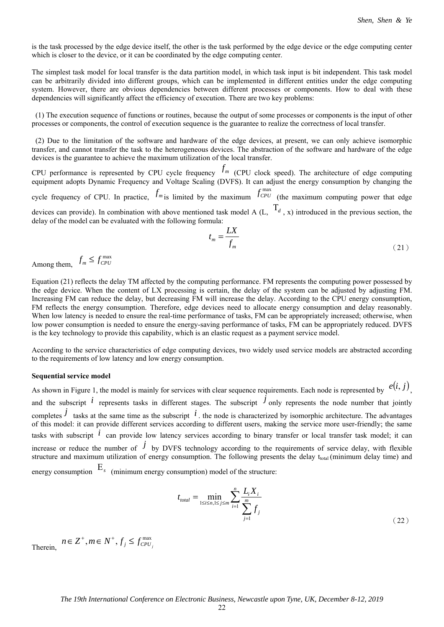is the task processed by the edge device itself, the other is the task performed by the edge device or the edge computing center which is closer to the device, or it can be coordinated by the edge computing center.

The simplest task model for local transfer is the data partition model, in which task input is bit independent. This task model can be arbitrarily divided into different groups, which can be implemented in different entities under the edge computing system. However, there are obvious dependencies between different processes or components. How to deal with these dependencies will significantly affect the efficiency of execution. There are two key problems:

 (1) The execution sequence of functions or routines, because the output of some processes or components is the input of other processes or components, the control of execution sequence is the guarantee to realize the correctness of local transfer.

 (2) Due to the limitation of the software and hardware of the edge devices, at present, we can only achieve isomorphic transfer, and cannot transfer the task to the heterogeneous devices. The abstraction of the software and hardware of the edge devices is the guarantee to achieve the maximum utilization of the local transfer.

CPU performance is represented by CPU cycle frequency  $f_m$  (CPU clock speed). The architecture of edge computing equipment adopts Dynamic Frequency and Voltage Scaling (DVFS). It can adjust the energy consumption by changing the cycle frequency of CPU. In practice,  $f_m$  is limited by the maximum  $f_{CPU}^{max}$  (the maximum computing power that edge

devices can provide). In combination with above mentioned task model A  $(L, T_d, x)$  introduced in the previous section, the delay of the model can be evaluated with the following formula:

$$
t_m = \frac{LX}{f_m} \tag{21}
$$

Among them,  $f_m \leq f_{CPU}^{\max}$ 

Equation (21) reflects the delay TM affected by the computing performance. FM represents the computing power possessed by the edge device. When the content of LX processing is certain, the delay of the system can be adjusted by adjusting FM. Increasing FM can reduce the delay, but decreasing FM will increase the delay. According to the CPU energy consumption, FM reflects the energy consumption. Therefore, edge devices need to allocate energy consumption and delay reasonably. When low latency is needed to ensure the real-time performance of tasks, FM can be appropriately increased; otherwise, when low power consumption is needed to ensure the energy-saving performance of tasks, FM can be appropriately reduced. DVFS is the key technology to provide this capability, which is an elastic request as a payment service model.

According to the service characteristics of edge computing devices, two widely used service models are abstracted according to the requirements of low latency and low energy consumption.

## **Sequential service model**

As shown in Figure 1, the model is mainly for services with clear sequence requirements. Each node is represented by  $e(i, j)$ , and the subscript  $\hat{i}$  represents tasks in different stages. The subscript  $\hat{j}$  only represents the node number that jointly completes  $\dot{j}$  tasks at the same time as the subscript  $\dot{i}$ . the node is characterized by isomorphic architecture. The advantages of this model: it can provide different services according to different users, making the service more user-friendly; the same tasks with subscript *i* can provide low latency services according to binary transfer or local transfer task model; it can increase or reduce the number of  $\dot{J}$  by DVFS technology according to the requirements of service delay, with flexible structure and maximum utilization of energy consumption. The following presents the delay t<sub>total</sub> (minimum delay time) and energy consumption  $E_s$  (minimum energy consumption) model of the structure:

$$
t_{total} = \min_{1 \le i \le n, 1 \le j \le m} \sum_{i=1}^{n} \frac{L_i X_i}{\sum_{j=1}^{m} f_j}
$$
(22)

Therein,  $n \in \mathbb{Z}^+$ ,  $m \in \mathbb{N}^+$ ,  $f_j \leq f_{CPU_j}^{\max}$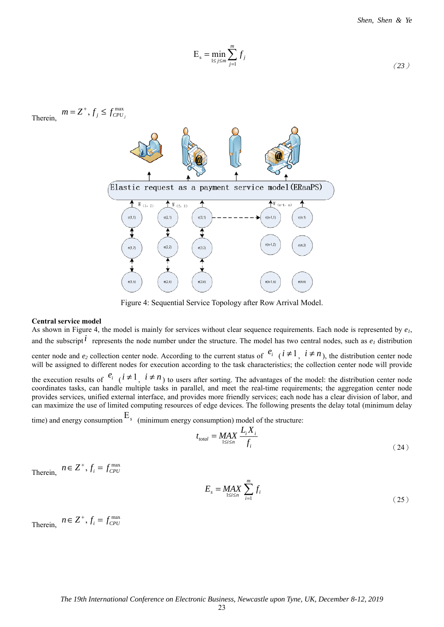*Shen, Shen & Ye*

$$
E_s = \min_{1 \le j \le m} \sum_{j=1}^m f_j \tag{23}
$$

Therein,  $m = Z^+, f_j \leq f_{CPU_j}^{\text{max}}$ 



Figure 4: Sequential Service Topology after Row Arrival Model.

## **Central service model**

As shown in Figure 4, the model is mainly for services without clear sequence requirements. Each node is represented by *e1*, and the subscript  $i$  represents the node number under the structure. The model has two central nodes, such as  $e_1$  distribution center node and  $e_2$  collection center node. According to the current status of  $e_i$  ( $i \neq 1$ ,  $i \neq n$ ), the distribution center node

will be assigned to different nodes for execution according to the task characteristics; the collection center node will provide

the execution results of  $e_i$  ( $i \neq 1$ ,  $i \neq n$ ) to users after sorting. The advantages of the model: the distribution center node coordinates tasks, can handle multiple tasks in parallel, and meet the real-time requirements; the aggregation center node provides services, unified external interface, and provides more friendly services; each node has a clear division of labor, and can maximize the use of limited computing resources of edge devices. The following presents the delay total (minimum delay

time) and energy consumption  $E<sub>s</sub>$  (minimum energy consumption) model of the structure:

$$
t_{total} = \underset{1 \le i \le n}{MAX} \frac{L_i X_i}{f_i}
$$
 (24)

Therein,  $n \in \mathbb{Z}^+$ ,  $f_i = f_{CPU}^{\max}$ 

$$
E_s = \underset{1 \le i \le n}{\text{MAX}} \sum_{i=1}^m f_i \tag{25}
$$

Therein,  $n \in \mathbb{Z}^+$ ,  $f_i = f_{CPU}^{\max}$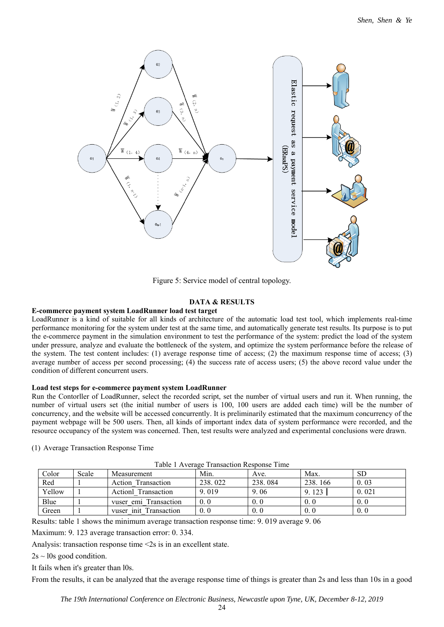

Figure 5: Service model of central topology.

# **DATA & RESULTS**

## **E-commerce payment system LoadRunner load test target**

LoadRunner is a kind of suitable for all kinds of architecture of the automatic load test tool, which implements real-time performance monitoring for the system under test at the same time, and automatically generate test results. Its purpose is to put the e-commerce payment in the simulation environment to test the performance of the system: predict the load of the system under pressure, analyze and evaluate the bottleneck of the system, and optimize the system performance before the release of the system. The test content includes: (1) average response time of access; (2) the maximum response time of access; (3) average number of access per second processing; (4) the success rate of access users; (5) the above record value under the condition of different concurrent users.

## **Load test steps for e-commerce payment system LoadRunner**

Run the Contorller of LoadRunner, select the recorded script, set the number of virtual users and run it. When running, the number of virtual users set (the initial number of users is 100, 100 users are added each time) will be the number of concurrency, and the website will be accessed concurrently. It is preliminarily estimated that the maximum concurrency of the payment webpage will be 500 users. Then, all kinds of important index data of system performance were recorded, and the resource occupancy of the system was concerned. Then, test results were analyzed and experimental conclusions were drawn.

| Table 1 Average Transaction Response Time |       |                        |         |         |         |           |
|-------------------------------------------|-------|------------------------|---------|---------|---------|-----------|
| Color                                     | Scale | Measurement            | Min.    | Ave.    | Max.    | <b>SD</b> |
| Red                                       |       | Action Transaction     | 238.022 | 238.084 | 238.166 | 0.03      |
| Yellow                                    |       | Actionl Transaction    | 9.019   | 9.06    | 9.123   | 0.021     |
| Blue                                      |       | vuser emi Transaction  | 0.0     | 0.0     | 0.0     | 0.0       |
| Green                                     |       | vuser init Transaction | 0.0     | 0.0     | 0.0     | 0.0       |

# (1) Average Transaction Response Time

Results: table 1 shows the minimum average transaction response time: 9. 019 average 9. 06

Maximum: 9. 123 average transaction error: 0. 334.

Analysis: transaction response time <2s is in an excellent state.

 $2s \sim 10s$  good condition.

It fails when it's greater than l0s.

From the results, it can be analyzed that the average response time of things is greater than 2s and less than 10s in a good

*The 19th International Conference on Electronic Business, Newcastle upon Tyne, UK, December 8-12, 2019*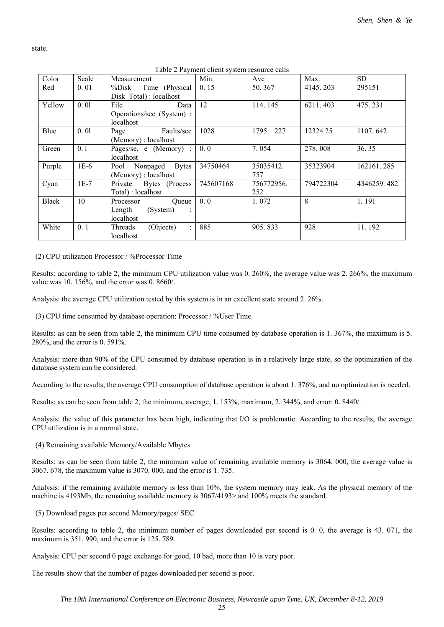Color Scale Measurement Min. Ave Max. SD Red 0.01 %Disk Time (Physical Disk\_Total) : localhost 0. 15 50. 367 4145. 203 295151 Yellow 0. 01 File Data Operations/sec (System) : localhost 12 114. 145 6211. 403 475. 231 Blue 0. 01 Page Faults/sec (Memory) : localhost 1028 1795 227 12324 25 1107.642 Green 0.1 | Pages/se, e (Memory) : localhost 0. 0 7. 054 278. 008 36. 35 Purple 1E-6 Pool Nonpaged Bytes (Memory) : localhost 34750464 35035412. 757 35323904 162161. 285 Cyan 1E-7 Private Bytes (Process Total) : localhost 745607168 756772956. 252 794722304 4346259. 482 Black 10 Processor Queue Length (System) : localhost 0. 0  $\begin{array}{|c|c|c|c|c|c|c|c|} \hline 1. & 072 & \quad & 8 & \quad & 1.191 \ \hline \end{array}$ White 0.1 Threads (Ohjects) : localhost 885 905.833 928 11.192

Table 2 Payment client system resource calls

(2) CPU utilization Processor / %Processor Time

state.

Results: according to table 2, the minimum CPU utilization value was 0. 260%, the average value was 2. 266%, the maximum value was 10. 156%, and the error was 0. 8660/.

Analysis: the average CPU utilization tested by this system is in an excellent state around 2. 26%.

(3) CPU time consumed by database operation: Processor / %User Time.

Results: as can be seen from table 2, the minimum CPU time consumed by database operation is 1. 367%, the maximum is 5. 280%, and the error is 0. 591%.

Analysis: more than 90% of the CPU consumed by database operation is in a relatively large state, so the optimization of the database system can be considered.

According to the results, the average CPU consumption of database operation is about 1. 376%, and no optimization is needed.

Results: as can be seen from table 2, the minimum, average, 1. 153%, maximum, 2. 344%, and error: 0. 8440/.

Analysis: the value of this parameter has been high, indicating that I/O is problematic. According to the results, the average CPU utilization is in a normal state.

(4) Remaining available Memory/Available Mbytes

Results: as can be seen from table 2, the minimum value of remaining available memory is 3064. 000, the average value is 3067. 678, the maximum value is 3070. 000, and the error is 1. 735.

Analysis: if the remaining available memory is less than 10%, the system memory may leak. As the physical memory of the machine is 4193Mb, the remaining available memory is 3067/4193> and 100% meets the standard.

(5) Download pages per second Memory/pages/ SEC

Results: according to table 2, the minimum number of pages downloaded per second is 0. 0, the average is 43. 071, the maximum is 351. 990, and the error is 125. 789.

Analysis: CPU per second 0 page exchange for good, 10 bad, more than 10 is very poor.

The results show that the number of pages downloaded per second is poor.